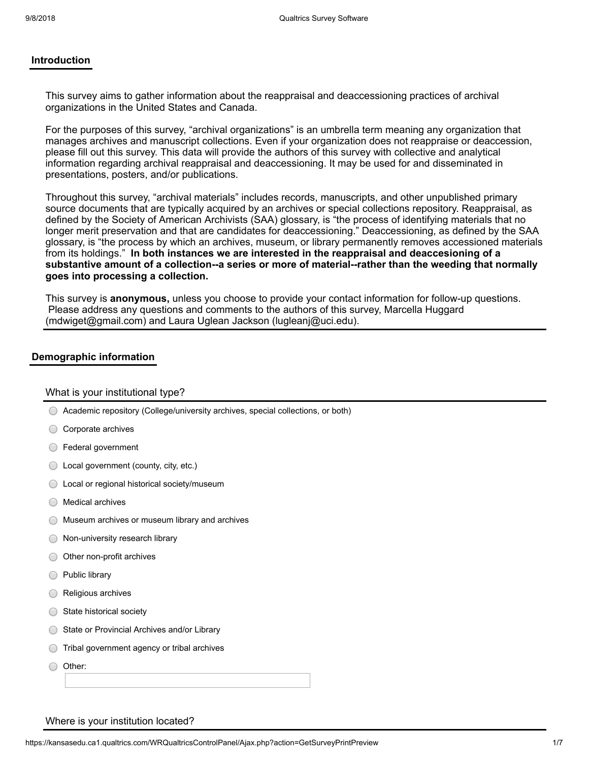## **Introduction**

This survey aims to gather information about the reappraisal and deaccessioning practices of archival organizations in the United States and Canada.

For the purposes of this survey, "archival organizations" is an umbrella term meaning any organization that manages archives and manuscript collections. Even if your organization does not reappraise or deaccession, please fill out this survey. This data will provide the authors of this survey with collective and analytical information regarding archival reappraisal and deaccessioning. It may be used for and disseminated in presentations, posters, and/or publications.

Throughout this survey, "archival materials" includes records, manuscripts, and other unpublished primary source documents that are typically acquired by an archives or special collections repository. Reappraisal, as defined by the Society of American Archivists (SAA) glossary, is "the process of identifying materials that no longer merit preservation and that are candidates for deaccessioning." Deaccessioning, as defined by the SAA glossary, is "the process by which an archives, museum, or library permanently removes accessioned materials from its holdings." **In both instances we are interested in the reappraisal and deaccesioning of a substantive amount of a collection--a series or more of material--rather than the weeding that normally goes into processing a collection.**

This survey is **anonymous,** unless you choose to provide your contact information for follow-up questions. Please address any questions and comments to the authors of this survey, Marcella Huggard (mdwiget@gmail.com) and Laura Uglean Jackson (lugleanj@uci.edu).

## **Demographic information**

#### What is your institutional type?

| Academic repository (College/university archives, special collections, or both) |
|---------------------------------------------------------------------------------|
| Corporate archives                                                              |
| Federal government                                                              |
| Local government (county, city, etc.)                                           |
| Local or regional historical society/museum                                     |
| <b>Medical archives</b>                                                         |
| Museum archives or museum library and archives                                  |
| Non-university research library                                                 |
| Other non-profit archives                                                       |
| Public library                                                                  |
| Religious archives                                                              |
| State historical society                                                        |
| State or Provincial Archives and/or Library                                     |
| Tribal government agency or tribal archives                                     |
| Other:                                                                          |
|                                                                                 |
|                                                                                 |
|                                                                                 |

Where is your institution located?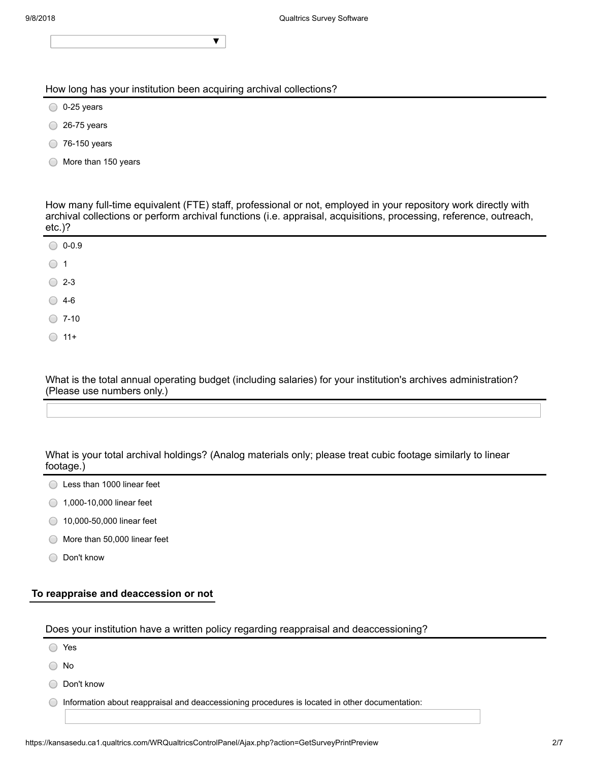|  |  |  | How long has your institution been acquiring archival collections? |
|--|--|--|--------------------------------------------------------------------|
|  |  |  |                                                                    |

 $\blacktriangledown$ 

| 0-25 years |
|------------|
|------------|

- $\bigcirc$  26-75 years
- $\circ$  76-150 years
- More than 150 years

How many full-time equivalent (FTE) staff, professional or not, employed in your repository work directly with archival collections or perform archival functions (i.e. appraisal, acquisitions, processing, reference, outreach, etc.)?

| $\bigcirc$ 0-0.9 |  |  |
|------------------|--|--|
| $\bigcirc$ 1     |  |  |
| $\bigcirc$ 2-3   |  |  |
| $\bigcirc$ 4-6   |  |  |
| $\bigcirc$ 7-10  |  |  |
| $\bigcirc$ 11+   |  |  |

What is the total annual operating budget (including salaries) for your institution's archives administration? (Please use numbers only.)

What is your total archival holdings? (Analog materials only; please treat cubic footage similarly to linear footage.)

- Less than 1000 linear feet
- 1,000-10,000 linear feet
- 10,000-50,000 linear feet
- More than 50,000 linear feet
- ◯ Don't know

## **To reappraise and deaccession or not**

Does your institution have a written policy regarding reappraisal and deaccessioning?

◯ Yes

- ◯ No
- ◯ Don't know

 $\bigcirc$  Information about reappraisal and deaccessioning procedures is located in other documentation: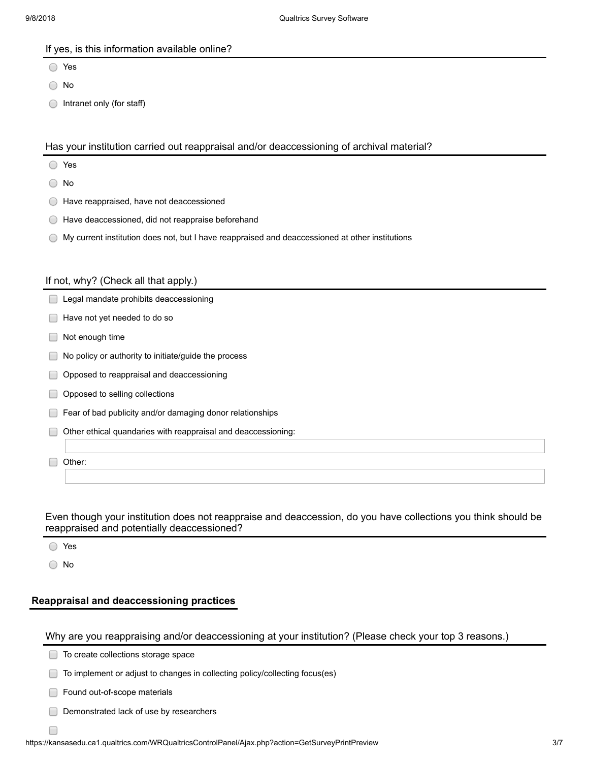#### If yes, is this information available online?

- $\bigcirc$ Yes
- No
- $\bigcirc$  Intranet only (for staff)

#### Has your institution carried out reappraisal and/or deaccessioning of archival material?

- Yes
- ◯ No
- Have reappraised, have not deaccessioned
- Have deaccessioned, did not reappraise beforehand
- My current institution does not, but I have reappraised and deaccessioned at other institutions

## If not, why? (Check all that apply.)

Legal mandate prohibits deaccessioning Have not yet needed to do so Not enough time No policy or authority to initiate/guide the process  $\overline{\phantom{a}}$  $\Box$ Opposed to reappraisal and deaccessioning Opposed to selling collections  $\Box$ Fear of bad publicity and/or damaging donor relationships Other ethical quandaries with reappraisal and deaccessioning: ∩ Other:

Even though your institution does not reappraise and deaccession, do you have collections you think should be reappraised and potentially deaccessioned?

Yes

◯ No

 $\Box$ 

## **Reappraisal and deaccessioning practices**

#### Why are you reappraising and/or deaccessioning at your institution? (Please check your top 3 reasons.)

- **□ To create collections storage space**
- $\Box$  To implement or adjust to changes in collecting policy/collecting focus(es)
- **Found out-of-scope materials**
- Demonstrated lack of use by researchers  $\Box$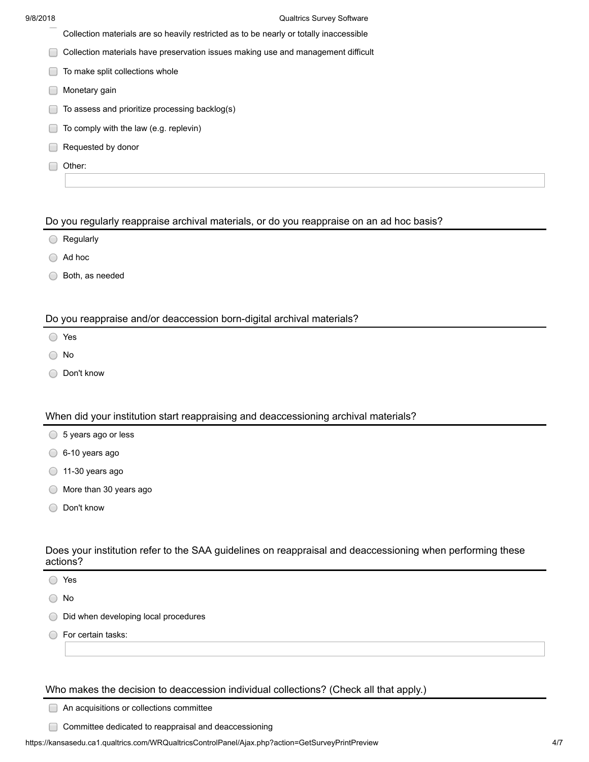| Collection materials are so heavily restricted as to be nearly or totally inaccessible |
|----------------------------------------------------------------------------------------|
|----------------------------------------------------------------------------------------|

- Collection materials have preservation issues making use and management difficult
- To make split collections whole
- **Monetary gain**
- $\Box$  To assess and prioritize processing backlog(s)
- To comply with the law (e.g. replevin)
- Requested by donor
- □ Other:

Do you regularly reappraise archival materials, or do you reappraise on an ad hoc basis?

- Regularly
- Ad hoc
- Both, as needed

### Do you reappraise and/or deaccession born-digital archival materials?

- Yes
- No
- ◯ Don't know

#### When did your institution start reappraising and deaccessioning archival materials?

- ◯ 5 years ago or less
- 6-10 years ago
- $\bigcirc$  11-30 years ago
- More than 30 years ago
- ◯ Don't know

## Does your institution refer to the SAA guidelines on reappraisal and deaccessioning when performing these actions?

Yes

- No
- $\bigcirc$  Did when developing local procedures
- ◯ For certain tasks:

#### Who makes the decision to deaccession individual collections? (Check all that apply.)

An acquisitions or collections committee

Committee dedicated to reappraisal and deaccessioning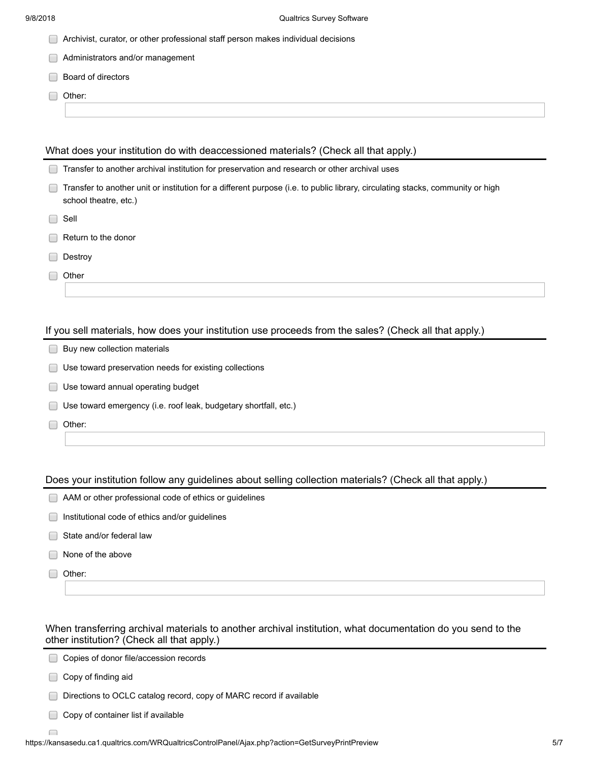| Archivist, curator, or other professional staff person makes individual decisions |
|-----------------------------------------------------------------------------------|
| Administrators and/or management                                                  |
| Board of directors                                                                |
| Other:                                                                            |
|                                                                                   |
|                                                                                   |

#### What does your institution do with deaccessioned materials? (Check all that apply.)

| Transfer to another archival institution for preservation and research or other archival uses                                                           |
|---------------------------------------------------------------------------------------------------------------------------------------------------------|
| Transfer to another unit or institution for a different purpose (i.e. to public library, circulating stacks, community or high<br>school theatre, etc.) |
| Sell                                                                                                                                                    |
| Return to the donor                                                                                                                                     |
| Destroy                                                                                                                                                 |
| Other                                                                                                                                                   |
|                                                                                                                                                         |
|                                                                                                                                                         |

## If you sell materials, how does your institution use proceeds from the sales? (Check all that apply.)

| <b>Buy new collection materials</b> |  |
|-------------------------------------|--|
|                                     |  |

- Use toward preservation needs for existing collections
- Use toward annual operating budget
- Use toward emergency (i.e. roof leak, budgetary shortfall, etc.)
- Other:

#### Does your institution follow any guidelines about selling collection materials? (Check all that apply.)

- AAM or other professional code of ethics or guidelines
- $\Box$  Institutional code of ethics and/or guidelines
- State and/or federal law
- None of the above

□ Other:

 $\Box$ 

## When transferring archival materials to another archival institution, what documentation do you send to the other institution? (Check all that apply.)

| Copies of donor file/accession records                              |
|---------------------------------------------------------------------|
| Copy of finding aid                                                 |
| Directions to OCLC catalog record, copy of MARC record if available |

Copy of container list if available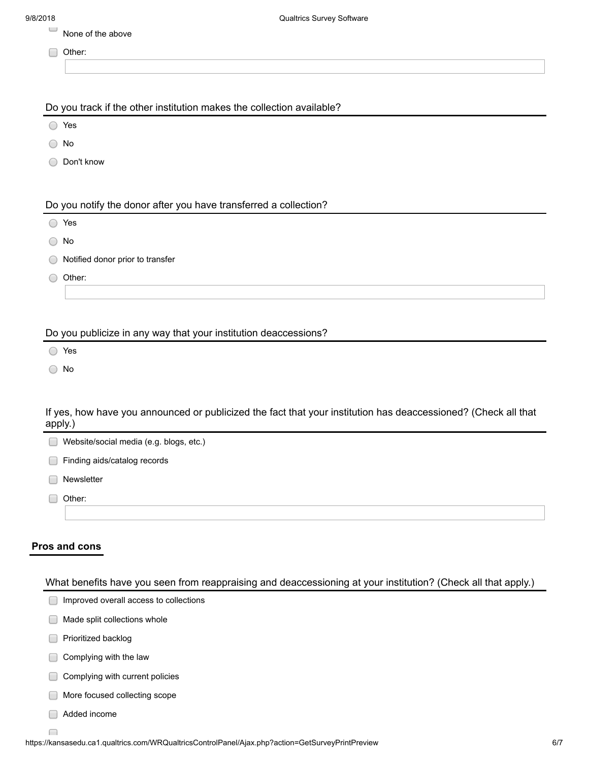- $\overline{\phantom{0}}$ None of the above
- Other:

Do you track if the other institution makes the collection available?

- Yes
- No
- ◯ Don't know

Do you notify the donor after you have transferred a collection?

- Yes
- ◯ No
- Notified donor prior to transfer
- O Other:

Do you publicize in any way that your institution deaccessions?

No

If yes, how have you announced or publicized the fact that your institution has deaccessioned? (Check all that apply.)



## **Pros and cons**

 $\Box$ 

What benefits have you seen from reappraising and deaccessioning at your institution? (Check all that apply.)

|   | Improved overall access to collections |
|---|----------------------------------------|
|   | Made split collections whole           |
|   | Prioritized backlog                    |
|   | Complying with the law                 |
|   | Complying with current policies        |
| ۰ | More focused collecting scope          |
|   | Added income                           |
|   |                                        |